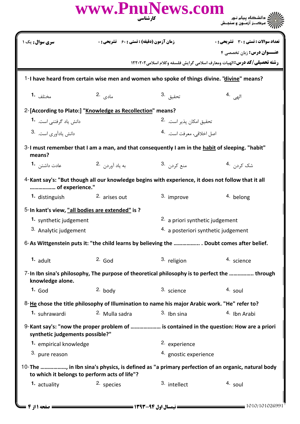|                                                            |                                                    | www.PnuNews.com<br>کار شناسی                                                                       | اران<br>است دانشگاه پیام نور<br>این مرکبز آزمون و سنجش                                                               |  |
|------------------------------------------------------------|----------------------------------------------------|----------------------------------------------------------------------------------------------------|----------------------------------------------------------------------------------------------------------------------|--|
| <b>سری سوال :</b> یک ۱                                     | <b>زمان آزمون (دقیقه) : تستی : 60 ٪ تشریحی : 0</b> |                                                                                                    | تعداد سوالات : تستى : 30 قشريحى : 0                                                                                  |  |
|                                                            |                                                    |                                                                                                    | <b>عنــوان درس: زبان تخصصی ۴</b><br><b>رشته تحصیلی/کد درس: ال</b> هیات ومعارف اسلامی گرایش فلسفه وکلام اسلامی1۲۲۰۲۰۲ |  |
|                                                            |                                                    | 1-I have heard from certain wise men and women who spoke of things divine. "divine" means?         |                                                                                                                      |  |
|                                                            |                                                    |                                                                                                    |                                                                                                                      |  |
| مختلف 1.                                                   | مادی .2                                            | تحقيق <sup>.3</sup>                                                                                | $4.$ الهي                                                                                                            |  |
| 2-[According to Plato:] "Knowledge as Recollection" means? |                                                    |                                                                                                    |                                                                                                                      |  |
| دانش یاد گرفتنی است. 1.                                    |                                                    | تحقيق امكان يذير است. <sup>2</sup> ۰                                                               |                                                                                                                      |  |
| دانش یادآوری است. 3.                                       | اصل اخلاقی، معرفت است. <sup>4</sup> ۰              |                                                                                                    |                                                                                                                      |  |
| means?                                                     |                                                    | 3-I must remember that I am a man, and that consequently I am in the habit of sleeping. "habit"    |                                                                                                                      |  |
| عادت داشتن <b>1</b> ۰                                      | به یاد آوردن 2.                                    | منع کردن 3.                                                                                        | شک ک <sub>ردن</sub> .4                                                                                               |  |
| of experience."                                            |                                                    | 4-Kant say's: "But though all our knowledge begins with experience, it does not follow that it all |                                                                                                                      |  |
| 1. distinguish                                             | 2. arises out                                      | 3. improve                                                                                         | 4. belong                                                                                                            |  |
| 5-In kant's view, "all bodies are extended" is ?           |                                                    |                                                                                                    |                                                                                                                      |  |
| 1. synthetic judgement                                     |                                                    |                                                                                                    | <sup>2</sup> a priori synthetic judgement                                                                            |  |
| 3. Analytic judgement                                      |                                                    |                                                                                                    | 4. a posteriori synthetic judgement                                                                                  |  |
|                                                            |                                                    |                                                                                                    | 6-As Wittgenstein puts it: "the child learns by believing the  Doubt comes after belief.                             |  |
| $1.$ adult                                                 | $2.$ God                                           | 3. religion                                                                                        | 4. science                                                                                                           |  |
| knowledge alone.                                           |                                                    |                                                                                                    | 7-In Ibn sina's philosophy, The purpose of theoretical philosophy is to perfect the  through                         |  |
| $1.$ God                                                   | 2. body                                            | 3. science                                                                                         | 4. soul                                                                                                              |  |
|                                                            |                                                    | 8-He chose the title philosophy of Illumination to name his major Arabic work. "He" refer to?      |                                                                                                                      |  |
| 1. suhrawardi                                              | 2. Mulla sadra                                     | $3.$ Ibn sina                                                                                      | 4. Ibn Arabi                                                                                                         |  |
| synthetic judgements possible?"                            |                                                    |                                                                                                    | 9-Kant say's: "now the proper problem of  is contained in the question: How are a priori                             |  |
| 1. empirical knowledge                                     |                                                    | <sup>2.</sup> experience                                                                           |                                                                                                                      |  |
| 3. pure reason                                             |                                                    | 4. gnostic experience                                                                              |                                                                                                                      |  |
| to which it belongs to perform acts of life"?              |                                                    |                                                                                                    | 10-The , in Ibn sina's physics, is defined as "a primary perfection of an organic, natural body                      |  |
| 1. actuality                                               | 2. species                                         | 3. intellect                                                                                       | 4. soul                                                                                                              |  |
| $=$ صفحه ۱۱ ز ۴ $\!=$                                      |                                                    |                                                                                                    | 1010/101026991                                                                                                       |  |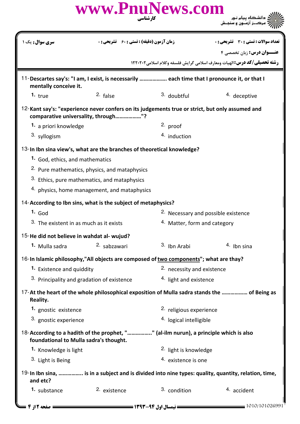|                                                                         |              | www.PnuNews.com<br>کار شناسی                                                                        |                                                                                           |  |  |
|-------------------------------------------------------------------------|--------------|-----------------------------------------------------------------------------------------------------|-------------------------------------------------------------------------------------------|--|--|
| <b>سری سوال:</b> یک ۱                                                   |              | <b>زمان آزمون (دقیقه) : تستی : 60 ٪ تشریحی : 0</b>                                                  | <b>تعداد سوالات : تستی : 30 ٪ تشریحی : 0</b>                                              |  |  |
|                                                                         |              |                                                                                                     | <b>عنــوان درس: زبان تخصصی ۴</b>                                                          |  |  |
|                                                                         |              |                                                                                                     | رشته تحصیلی/کد درس:الهیات ومعارف اسلامی گرایش فلسفه وکلام اسلامی ۱۲۲۰۲۰۲                  |  |  |
| mentally conceive it.                                                   |              | 11-Descartes say's: "I am, I exist, is necessarily  each time that I pronounce it, or that I        |                                                                                           |  |  |
| 1. $true$                                                               | 2. false     | 3. doubtful                                                                                         | 4. deceptive                                                                              |  |  |
| comparative universality, through"?                                     |              | 12-Kant say's: "experience never confers on its judgements true or strict, but only assumed and     |                                                                                           |  |  |
| 1. a priori knowledge                                                   |              | 2. proof                                                                                            |                                                                                           |  |  |
| 3. syllogism                                                            |              | 4. induction                                                                                        |                                                                                           |  |  |
|                                                                         |              | 13-In Ibn sina view's, what are the branches of theoretical knowledge?                              |                                                                                           |  |  |
| 1. God, ethics, and mathematics                                         |              |                                                                                                     |                                                                                           |  |  |
| <sup>2.</sup> Pure mathematics, physics, and mataphysics                |              |                                                                                                     |                                                                                           |  |  |
| 3. Ethics, pure mathematics, and mataphysics                            |              |                                                                                                     |                                                                                           |  |  |
| 4. physics, home management, and mataphysics                            |              |                                                                                                     |                                                                                           |  |  |
| 14-According to Ibn sins, what is the subject of metaphysics?           |              |                                                                                                     |                                                                                           |  |  |
| $1.$ God                                                                |              |                                                                                                     |                                                                                           |  |  |
| 3. The existent in as much as it exists                                 |              |                                                                                                     | <sup>2.</sup> Necessary and possible existence<br><sup>4.</sup> Matter, form and category |  |  |
|                                                                         |              |                                                                                                     |                                                                                           |  |  |
| 15-He did not believe in wahdat al- wujud?<br><sup>1.</sup> Mulla sadra | 2. sabzawari | <sup>3.</sup> Ibn Arabi                                                                             | 4. Ibn sina                                                                               |  |  |
|                                                                         |              |                                                                                                     |                                                                                           |  |  |
|                                                                         |              | 16-In Islamic philosophy,"All objects are composed of two components"; what are thay?               |                                                                                           |  |  |
| 1. Existence and quiddity                                               |              |                                                                                                     | 2. necessity and existence                                                                |  |  |
| 3. Principality and gradation of existence                              |              | <sup>4.</sup> light and existence                                                                   |                                                                                           |  |  |
| Reality.                                                                |              | 17-At the heart of the whole philosophical exposition of Mulla sadra stands the  of Being as        |                                                                                           |  |  |
| 1. gnostic existence                                                    |              | 2. religious experience                                                                             |                                                                                           |  |  |
| 3. gnostic experience                                                   |              | 4. logical intelligible                                                                             |                                                                                           |  |  |
| foundational to Mulla sadra's thought.                                  |              | 18-According to a hadith of the prophet, "" (al-ilm nurun), a principle which is also               |                                                                                           |  |  |
| 1. Knowledge is light                                                   |              | <sup>2.</sup> light is knowledge                                                                    |                                                                                           |  |  |
| 3. Light is Being                                                       |              | 4. existence is one                                                                                 |                                                                                           |  |  |
| and etc?                                                                |              | 19-In Ibn sina,  is in a subject and is divided into nine types: quality, quantity, relation, time, |                                                                                           |  |  |
| 1. substance                                                            | 2. existence | 3. condition                                                                                        | 4. accident                                                                               |  |  |
| ـــ صفحه 12ز 4 ـ                                                        |              |                                                                                                     | 1010/101026991                                                                            |  |  |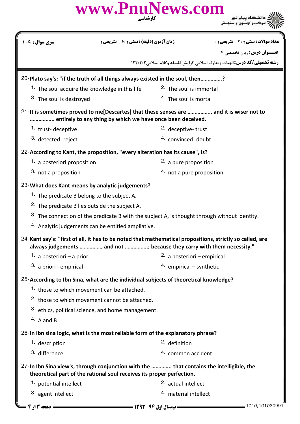| کارشناسی                                                                                                                                                                           | www.PnuNews.com                                                                                                      |
|------------------------------------------------------------------------------------------------------------------------------------------------------------------------------------|----------------------------------------------------------------------------------------------------------------------|
| <b>سری سوال:</b> یک ۱<br><b>زمان آزمون (دقیقه) : تستی : 60 تشریحی : 0</b>                                                                                                          | تعداد سوالات : تستى : 30 - تشريحي : 0                                                                                |
|                                                                                                                                                                                    | <b>عنــوان درس:</b> زبان تخصصی ۴<br><b>رشته تحصیلی/کد درس: ال</b> هیات ومعارف اسلامی گرایش فلسفه وکلام اسلامی1۲۲۰۲۰۲ |
|                                                                                                                                                                                    |                                                                                                                      |
| 20-Plato say's: "if the truth of all things always existed in the soul, then?                                                                                                      | <sup>2.</sup> The soul is immortal                                                                                   |
| 1. The soul acquire the knowledge in this life<br>3. The soul is destroyed                                                                                                         | <sup>4.</sup> The soul is mortal                                                                                     |
|                                                                                                                                                                                    |                                                                                                                      |
| 21-It is sometimes proved to me[Descartes] that these senses are , and it is wiser not to<br>entirely to any thing by which we have once been deceived.                            |                                                                                                                      |
| 1. trust-deceptive                                                                                                                                                                 | <sup>2.</sup> deceptive-trust                                                                                        |
| 3. detected-reject                                                                                                                                                                 | 4. convinced-doubt                                                                                                   |
| 22-According to Kant, the proposition, "every alteration has its cause", is?                                                                                                       |                                                                                                                      |
| 1. a posteriori proposition                                                                                                                                                        | 2. a pure proposition                                                                                                |
| 3. not a proposition                                                                                                                                                               | 4. not a pure proposition                                                                                            |
| 23-What does Kant means by analytic judgements?                                                                                                                                    |                                                                                                                      |
| 1. The predicate B belong to the subject A.                                                                                                                                        |                                                                                                                      |
| <sup>2.</sup> The predicate B lies outside the subject A.                                                                                                                          |                                                                                                                      |
| <sup>3.</sup> The connection of the predicate B with the subject A, is thought through without identity.                                                                           |                                                                                                                      |
| 4. Analytic judgements can be entitled ampliative.                                                                                                                                 |                                                                                                                      |
| 24-Kant say's: "first of all, it has to be noted that mathematical propositions, strictly so called, are<br>always judgements , and not ; because they carry with them necessity." |                                                                                                                      |
| 1. a posteriori – a priori                                                                                                                                                         | 2. a posteriori – empirical                                                                                          |
| 3. a priori - empirical                                                                                                                                                            | 4. empirical – synthetic                                                                                             |
| 25-According to Ibn Sina, what are the individual subjects of theoretical knowledge?                                                                                               |                                                                                                                      |
| 1. those to which movement can be attached.                                                                                                                                        |                                                                                                                      |
| 2. those to which movement cannot be attached.                                                                                                                                     |                                                                                                                      |
| 3. ethics, political science, and home management.                                                                                                                                 |                                                                                                                      |
| $4.$ A and B                                                                                                                                                                       |                                                                                                                      |
| 26-In Ibn sina logic, what is the most reliable form of the explanatory phrase?                                                                                                    |                                                                                                                      |
| 1. description                                                                                                                                                                     | <sup>2.</sup> definition                                                                                             |
| 3. difference                                                                                                                                                                      | 4. common accident                                                                                                   |
| 27-In Ibn Sina view's, through conjunction with the  that contains the intelligible, the<br>theoretical part of the rational soul receives its proper perfection.                  |                                                                                                                      |
| 1. potential intellect                                                                                                                                                             | 2. actual intellect                                                                                                  |
| 3. agent intellect                                                                                                                                                                 | 4. material intellect                                                                                                |
| == صفحه 13 ; 4 <del>- -</del>                                                                                                                                                      | 1010/101026991                                                                                                       |